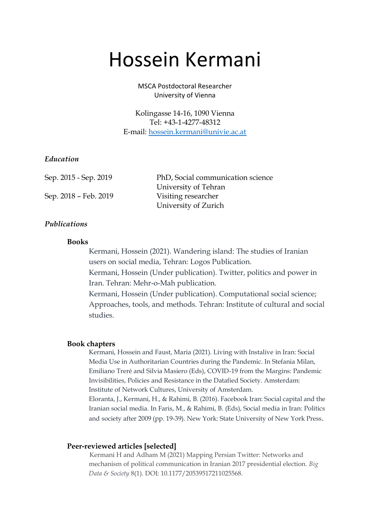# Hossein Kermani

MSCA Postdoctoral Researcher University of Vienna

Kolingasse 14-16, 1090 Vienna Tel: +43-1-4277-48312 E-mail: [hossein.kermani@univie.ac.at](mailto:hossein.kermani@univie.ac.at)

## *Education*

Sep. 2015 - Sep. 2019 PhD, Social communication science University of Tehran Sep. 2018 – Feb. 2019 Visiting researcher University of Zurich

## *Publications*

## **Books**

Kermani, Hossein (2021). Wandering island: The studies of Iranian users on social media, Tehran: Logos Publication.

Kermani, Hossein (Under publication). Twitter, politics and power in Iran. Tehran: Mehr-o-Mah publication.

Kermani, Hossein (Under publication). Computational social science; Approaches, tools, and methods. Tehran: Institute of cultural and social studies.

#### **Book chapters**

Kermani, Hossein and Faust, Maria (2021). Living with Instalive in Iran: Social Media Use in Authoritarian Countries during the Pandemic. In Stefania Milan, Emiliano Treré and Silvia Masiero (Eds), COVID-19 from the Margins: Pandemic Invisibilities, Policies and Resistance in the Datafied Society. Amsterdam: Institute of Network Cultures, University of Amsterdam.

Eloranta, J., Kermani, H., & Rahimi, B. (2016). Facebook Iran: Social capital and the Iranian social media. In Faris, M., & Rahimi, B. (Eds), Social media in Iran: Politics and society after 2009 (pp. 19-39). New York: State University of New York Press.

#### **Peer-reviewed articles [selected]**

Kermani H and Adham M (2021) Mapping Persian Twitter: Networks and mechanism of political communication in Iranian 2017 presidential election. *Big Data & Society* 8(1). DOI: 10.1177/20539517211025568.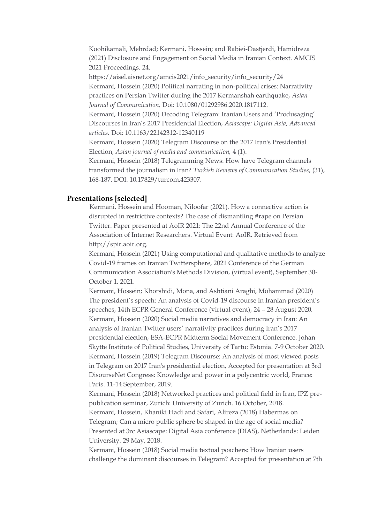Koohikamali, Mehrdad; Kermani, Hossein; and Rabiei-Dastjerdi, Hamidreza (2021) Disclosure and Engagement on Social Media in Iranian Context. AMCIS 2021 Proceedings. 24.

https://aisel.aisnet.org/amcis2021/info\_security/info\_security/24 Kermani, Hossein (2020) Political narrating in non-political crises: Narrativity practices on Persian Twitter during the 2017 Kermanshah earthquake, *Asian Journal of Communication,* Doi: 10.1080/01292986.2020.1817112*.*

Kermani, Hossein (2020) Decoding Telegram: Iranian Users and 'Produsaging' Discourses in Iran's 2017 Presidential Election, *Asiascape: Digital Asia, Advanced articles.* Doi: 10.1163/22142312-12340119

Kermani, Hossein (2020) Telegram Discourse on the 2017 Iran's Presidential Election, *Asian journal of media and communication,* 4 (1).

Kermani, Hossein (2018) Telegramming News: How have Telegram channels transformed the journalism in Iran? *Turkish Reviews of Communication Studies*, (31), 168-187. DOI: 10.17829/turcom.423307.

#### **Presentations [selected]**

Kermani, Hossein and Hooman, Niloofar (2021). How a connective action is disrupted in restrictive contexts? The case of dismantling #rape on Persian Twitter. Paper presented at AoIR 2021: The 22nd Annual Conference of the Association of Internet Researchers. Virtual Event: AoIR. Retrieved from http://spir.aoir.org.

Kermani, Hossein (2021) Using computational and qualitative methods to analyze Covid-19 frames on Iranian Twittersphere, 2021 Conference of the German Communication Association's Methods Division, (virtual event), September 30- October 1, 2021.

Kermani, Hossein; Khorshidi, Mona, and Ashtiani Araghi, Mohammad (2020) The president's speech: An analysis of Covid-19 discourse in Iranian president's speeches, 14th ECPR General Conference (virtual event), 24 – 28 August 2020. Kermani, Hossein (2020) Social media narratives and democracy in Iran: An analysis of Iranian Twitter users' narrativity practices during Iran's 2017 presidential election, ESA-ECPR Midterm Social Movement Conference. Johan Skytte Institute of Political Studies, University of Tartu: Estonia. 7-9 October 2020. Kermani, Hossein (2019) Telegram Discourse: An analysis of most viewed posts in Telegram on 2017 Iran's presidential election, Accepted for presentation at 3rd DisourseNet Congress: Knowledge and power in a polycentric world, France: Paris. 11-14 September, 2019.

Kermani, Hossein (2018) Networked practices and political field in Iran, IPZ prepublication seminar, Zurich: University of Zurich. 16 October, 2018.

Kermani, Hossein, Khaniki Hadi and Safari, Alireza (2018) Habermas on Telegram; Can a micro public sphere be shaped in the age of social media? Presented at 3rc Asiascape: Digital Asia conference (DIAS), Netherlands: Leiden University. 29 May, 2018.

Kermani, Hossein (2018) Social media textual poachers: How Iranian users challenge the dominant discourses in Telegram? Accepted for presentation at 7th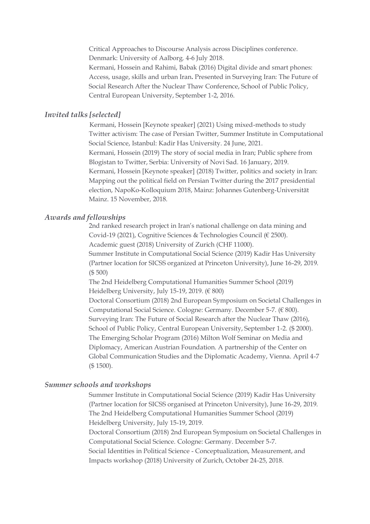Critical Approaches to Discourse Analysis across Disciplines conference. Denmark: University of Aalborg. 4-6 July 2018. Kermani, Hossein and Rahimi, Babak (2016) Digital divide and smart phones: Access, usage, skills and urban Iran**.** Presented in Surveying Iran: The Future of Social Research After the Nuclear Thaw Conference, School of Public Policy, Central European University, September 1-2, 2016.

## *Invited talks [selected]*

Kermani, Hossein [Keynote speaker] (2021) Using mixed-methods to study Twitter activism: The case of Persian Twitter, Summer Institute in Computational Social Science, Istanbul: Kadir Has University. 24 June, 2021. Kermani, Hossein (2019) The story of social media in Iran; Public sphere from Blogistan to Twitter, Serbia: University of Novi Sad. 16 January, 2019. Kermani, Hossein [Keynote speaker] (2018) Twitter, politics and society in Iran: Mapping out the political field on Persian Twitter during the 2017 presidential election, NapoKo-Kolloquium 2018, Mainz: Johannes Gutenberg-Universität Mainz. 15 November, 2018.

#### *Awards and fellowships*

2nd ranked research project in Iran's national challenge on data mining and Covid-19 (2021), Cognitive Sciences & Technologies Council (€ 2500). Academic guest (2018) University of Zurich (CHF 11000).

Summer Institute in Computational Social Science (2019) Kadir Has University (Partner location for SICSS organized at Princeton University), June 16-29, 2019. (\$ 500)

The 2nd Heidelberg Computational Humanities Summer School (2019) Heidelberg University, July 15-19, 2019. (€ 800)

Doctoral Consortium (2018) 2nd European Symposium on Societal Challenges in Computational Social Science. Cologne: Germany. December 5-7. (€ 800). Surveying Iran: The Future of Social Research after the Nuclear Thaw (2016), School of Public Policy, Central European University, September 1-2. (\$ 2000). The Emerging Scholar Program (2016) Milton Wolf Seminar on Media and Diplomacy, American Austrian Foundation. A partnership of the Center on Global Communication Studies and the Diplomatic Academy, Vienna. April 4-7 (\$ 1500).

## *Summer schools and workshops*

Summer Institute in Computational Social Science (2019) Kadir Has University (Partner location for SICSS organised at Princeton University), June 16-29, 2019. The 2nd Heidelberg Computational Humanities Summer School (2019) Heidelberg University, July 15-19, 2019.

Doctoral Consortium (2018) 2nd European Symposium on Societal Challenges in Computational Social Science. Cologne: Germany. December 5-7.

Social Identities in Political Science - Conceptualization, Measurement, and Impacts workshop (2018) University of Zurich, October 24-25, 2018.